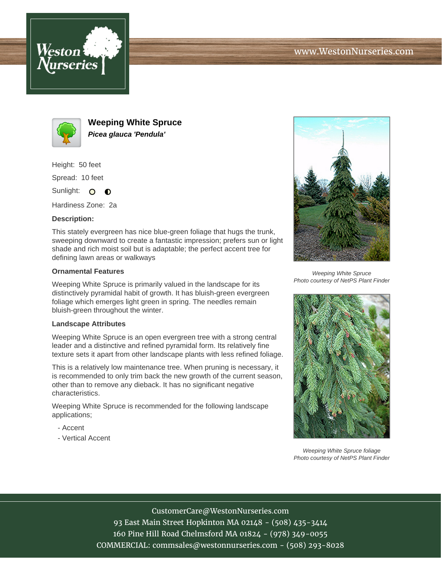



**Weeping White Spruce Picea glauca 'Pendula'**

Height: 50 feet

Spread: 10 feet

Sunlight: O  $\bullet$ 

Hardiness Zone: 2a

## **Description:**

This stately evergreen has nice blue-green foliage that hugs the trunk, sweeping downward to create a fantastic impression; prefers sun or light shade and rich moist soil but is adaptable; the perfect accent tree for defining lawn areas or walkways

## **Ornamental Features**

Weeping White Spruce is primarily valued in the landscape for its distinctively pyramidal habit of growth. It has bluish-green evergreen foliage which emerges light green in spring. The needles remain bluish-green throughout the winter.

## **Landscape Attributes**

Weeping White Spruce is an open evergreen tree with a strong central leader and a distinctive and refined pyramidal form. Its relatively fine texture sets it apart from other landscape plants with less refined foliage.

This is a relatively low maintenance tree. When pruning is necessary, it is recommended to only trim back the new growth of the current season, other than to remove any dieback. It has no significant negative characteristics.

Weeping White Spruce is recommended for the following landscape applications;

- Accent
- Vertical Accent



Weeping White Spruce Photo courtesy of NetPS Plant Finder



Weeping White Spruce foliage Photo courtesy of NetPS Plant Finder

CustomerCare@WestonNurseries.com

93 East Main Street Hopkinton MA 02148 - (508) 435-3414 160 Pine Hill Road Chelmsford MA 01824 - (978) 349-0055 COMMERCIAL: commsales@westonnurseries.com - (508) 293-8028